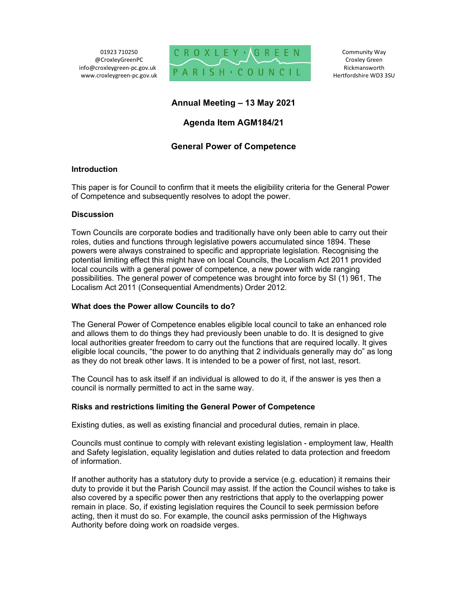01923 710250 @CroxleyGreenPC info@croxleygreen-pc.gov.uk www.croxleygreen-pc.gov.uk



Community Way Croxley Green Rickmansworth Hertfordshire WD3 3SU

# Annual Meeting – 13 May 2021

## Agenda Item AGM184/21

## General Power of Competence

### Introduction

This paper is for Council to confirm that it meets the eligibility criteria for the General Power of Competence and subsequently resolves to adopt the power.

#### **Discussion**

Town Councils are corporate bodies and traditionally have only been able to carry out their roles, duties and functions through legislative powers accumulated since 1894. These powers were always constrained to specific and appropriate legislation. Recognising the potential limiting effect this might have on local Councils, the Localism Act 2011 provided local councils with a general power of competence, a new power with wide ranging possibilities. The general power of competence was brought into force by SI (1) 961, The Localism Act 2011 (Consequential Amendments) Order 2012.

#### What does the Power allow Councils to do?

The General Power of Competence enables eligible local council to take an enhanced role and allows them to do things they had previously been unable to do. It is designed to give local authorities greater freedom to carry out the functions that are required locally. It gives eligible local councils, "the power to do anything that 2 individuals generally may do" as long as they do not break other laws. It is intended to be a power of first, not last, resort.

The Council has to ask itself if an individual is allowed to do it, if the answer is yes then a council is normally permitted to act in the same way.

### Risks and restrictions limiting the General Power of Competence

Existing duties, as well as existing financial and procedural duties, remain in place.

Councils must continue to comply with relevant existing legislation - employment law, Health and Safety legislation, equality legislation and duties related to data protection and freedom of information.

If another authority has a statutory duty to provide a service (e.g. education) it remains their duty to provide it but the Parish Council may assist. If the action the Council wishes to take is also covered by a specific power then any restrictions that apply to the overlapping power remain in place. So, if existing legislation requires the Council to seek permission before acting, then it must do so. For example, the council asks permission of the Highways Authority before doing work on roadside verges.